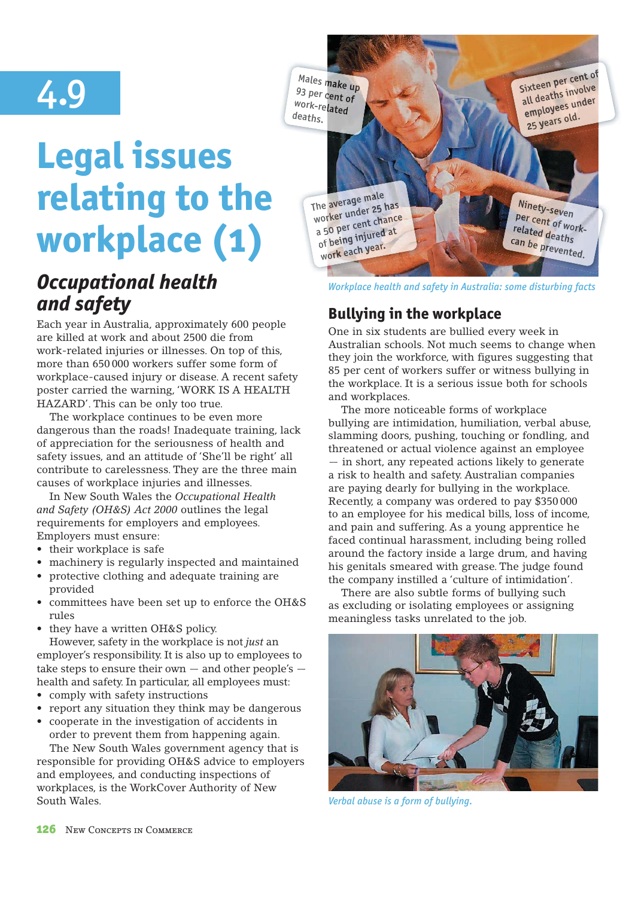# 4.9

# **Legal issues relating to the workplace (1)**

## *Occupational health and safety*

Each year in Australia, approximately 600 people are killed at work and about 2500 die from work-related injuries or illnesses. On top of this, more than 650 000 workers suffer some form of workplace-caused injury or disease. A recent safety poster carried the warning, 'WORK IS A HEALTH HAZARD'. This can be only too true.

The workplace continues to be even more dangerous than the roads! Inadequate training, lack of appreciation for the seriousness of health and safety issues, and an attitude of 'She'll be right' all contribute to carelessness. They are the three main causes of workplace injuries and illnesses.

In New South Wales the *Occupational Health and Safety (OH&S) Act 2000* outlines the legal requirements for employers and employees. Employers must ensure:

- their workplace is safe
- machinery is regularly inspected and maintained
- protective clothing and adequate training are provided
- committees have been set up to enforce the OH&S rules
- they have a written OH&S policy.

However, safety in the workplace is not *just* an employer's responsibility. It is also up to employees to take steps to ensure their own  $-$  and other people's  $$ health and safety. In particular, all employees must:

- comply with safety instructions
- $\bullet$  report any situation they think may be dangerous
- cooperate in the investigation of accidents in order to prevent them from happening again. The New South Wales government agency that is responsible for providing OH&S advice to employers

and employees, and conducting inspections of workplaces, is the WorkCover Authority of New South Wales.



*Workplace health and safety in Australia: some disturbing facts*

### **Bullying in the workplace**

One in six students are bullied every week in Australian schools. Not much seems to change when they join the workforce, with figures suggesting that 85 per cent of workers suffer or witness bullying in the workplace. It is a serious issue both for schools and workplaces.

The more noticeable forms of workplace bullying are intimidation, humiliation, verbal abuse, slamming doors, pushing, touching or fondling, and threatened or actual violence against an employee — in short, any repeated actions likely to generate a risk to health and safety. Australian companies are paying dearly for bullying in the workplace. Recently, a company was ordered to pay \$350 000 to an employee for his medical bills, loss of income, and pain and suffering. As a young apprentice he faced continual harassment, including being rolled around the factory inside a large drum, and having his genitals smeared with grease. The judge found the company instilled a 'culture of intimidation'.

There are also subtle forms of bullying such as excluding or isolating employees or assigning meaningless tasks unrelated to the job.



*Verbal abuse is a form of bullying.*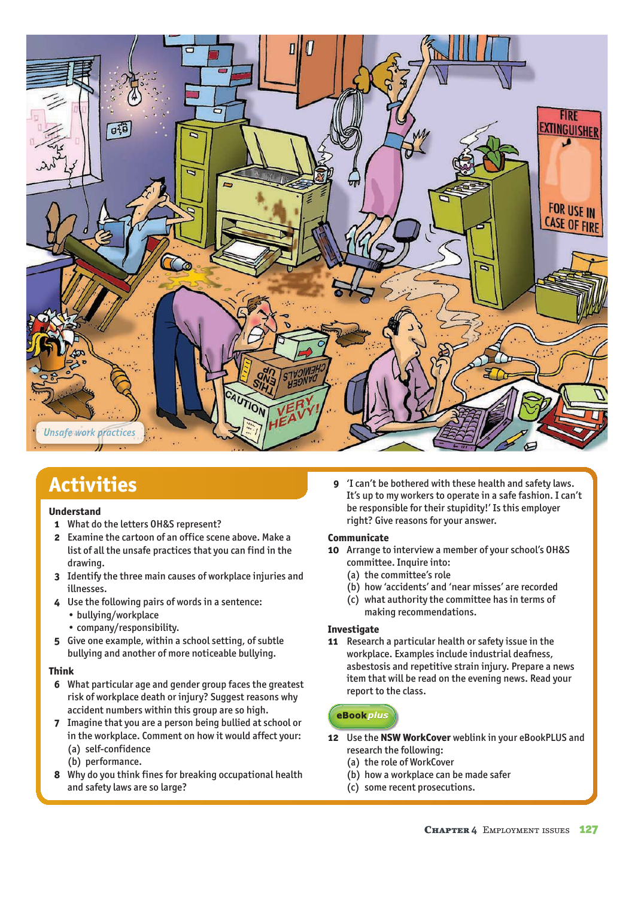

## **Activities**

#### **Understand**

- **1** What do the letters OH&S represent?
- **2** Examine the cartoon of an office scene above. Make a list of all the unsafe practices that you can find in the drawing.
- **3** Identify the three main causes of workplace injuries and illnesses.
- **4** Use the following pairs of words in a sentence:
	- bullying/workplace
	- company/responsibility.
- **5** Give one example, within a school setting, of subtle bullying and another of more noticeable bullying.

#### **Think**

- **6** What particular age and gender group faces the greatest risk of workplace death or injury? Suggest reasons why accident numbers within this group are so high.
- **7** Imagine that you are a person being bullied at school or in the workplace. Comment on how it would affect your: (a) self-confidence
	- (b) performance.
- **8** Why do you think fines for breaking occupational health and safety laws are so large?

 **9** 'I can't be bothered with these health and safety laws. It's up to my workers to operate in a safe fashion. I can't be responsible for their stupidity!' Is this employer right? Give reasons for your answer.

#### **Communicate**

- **10** Arrange to interview a member of your school's OH&S committee. Inquire into:
	- (a) the committee's role
	- (b) how 'accidents' and 'near misses' are recorded
	- (c) what authority the committee has in terms of making recommendations.

#### **Investigate**

**11** Research a particular health or safety issue in the workplace. Examples include industrial deafness, asbestosis and repetitive strain injury. Prepare a news item that will be read on the evening news. Read your report to the class.

#### eBook plus

- **12** Use the **NSW WorkCover** weblink in your eBookPLUS and research the following:
	- (a) the role of WorkCover
	- (b) how a workplace can be made safer
	- (c) some recent prosecutions.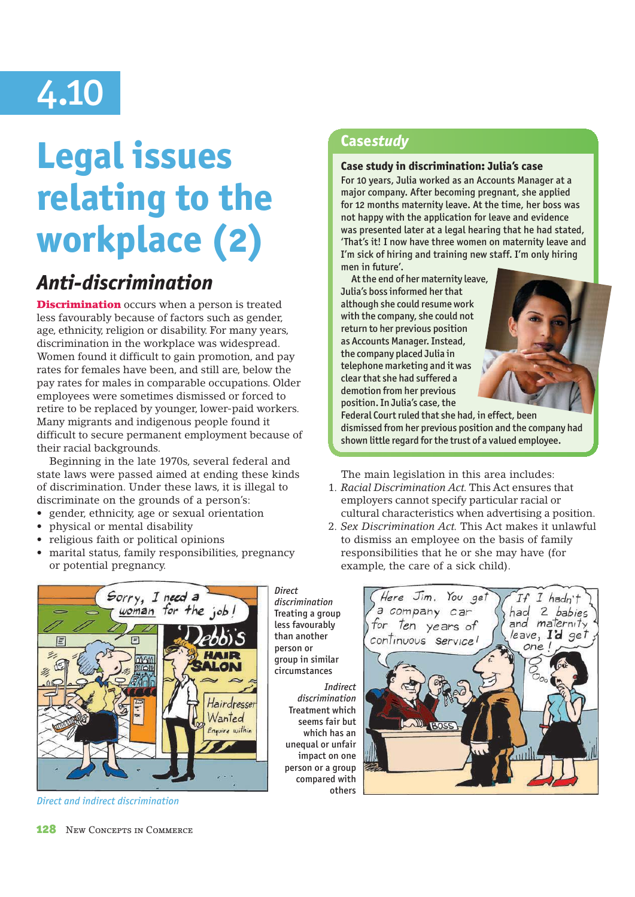# 4.10

# **Legal issues relating to the workplace (2)**

## *Anti-discrimination*

**Discrimination** occurs when a person is treated less favourably because of factors such as gender, age, ethnicity, religion or disability. For many years, discrimination in the workplace was widespread. Women found it difficult to gain promotion, and pay rates for females have been, and still are, below the pay rates for males in comparable occupations. Older employees were sometimes dismissed or forced to retire to be replaced by younger, lower-paid workers. Many migrants and indigenous people found it difficult to secure permanent employment because of their racial backgrounds.

Beginning in the late 1970s, several federal and state laws were passed aimed at ending these kinds of discrimination. Under these laws, it is illegal to discriminate on the grounds of a person's:

- gender, ethnicity, age or sexual orientation
- physical or mental disability
- religious faith or political opinions
- marital status, family responsibilities, pregnancy or potential pregnancy.

## Sorry, I need a woman for the LON Hairdressei Wanted Enquire within

*Direct and indirect discrimination*

than another person or group in similar circumstances *Indirect discrimination* Treatment which

*Direct discrimination* Treating a group less favourably

> seems fair but which has an unequal or unfair impact on one person or a group compared with others

#### **Case** *study*

#### **Case study in discrimination: Julia's case**

For 10 years, Julia worked as an Accounts Manager at a major company. After becoming pregnant, she applied for 12 months maternity leave. At the time, her boss was not happy with the application for leave and evidence was presented later at a legal hearing that he had stated, 'That's it! I now have three women on maternity leave and I'm sick of hiring and training new staff. I'm only hiring men in future'.

 At the end of her maternity leave, Julia's boss informed her that although she could resume work with the company, she could not return to her previous position as Accounts Manager. Instead, the company placed Julia in telephone marketing and it was clear that she had suffered a demotion from her previous position. In Julia's case, the



Federal Court ruled that she had, in effect, been dismissed from her previous position and the company had shown little regard for the trust of a valued employee.

The main legislation in this area includes:

- 1. Racial Discrimination Act. This Act ensures that employers cannot specify particular racial or cultural characteristics when advertising a position.
- 2. Sex Discrimination Act. This Act makes it unlawful to dismiss an employee on the basis of family responsibilities that he or she may have (for example, the care of a sick child).

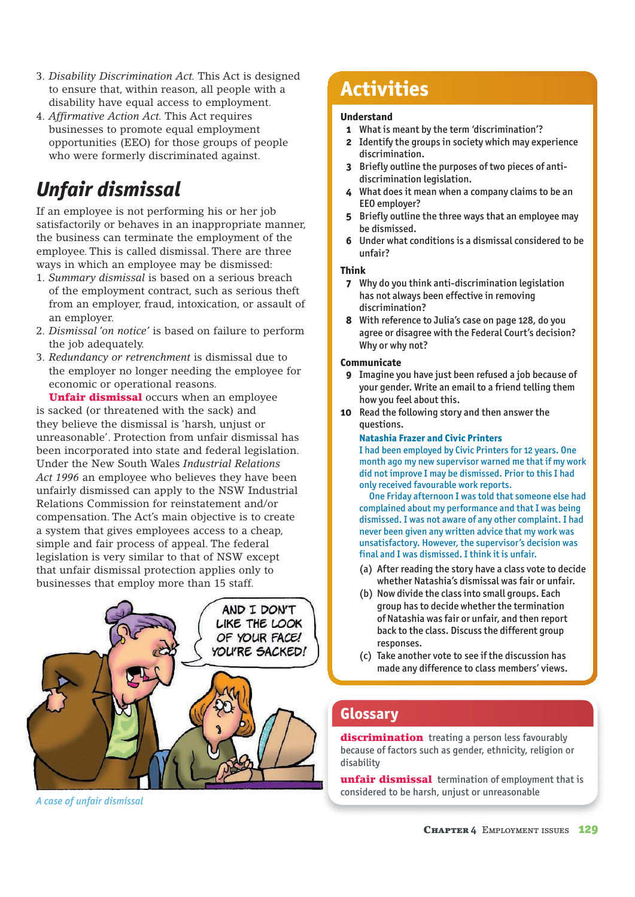- 3. Disability Discrimination Act. This Act is designed to ensure that, within reason, all people with a disability have equal access to employment.
- 4. Affirmative Action Act. This Act requires businesses to promote equal employment opportunities (EEO) for those groups of people who were formerly discriminated against.

## *Unfair dismissal*

If an employee is not performing his or her job satisfactorily or behaves in an inappropriate manner, the business can terminate the employment of the employee. This is called dismissal. There are three ways in which an employee may be dismissed:

- 1. Summary dismissal is based on a serious breach of the employment contract, such as serious theft from an employer, fraud, intoxication, or assault of an employer.
- 2. Dismissal 'on notice' is based on failure to perform the job adequately.
- 3. Redundancy or retrenchment is dismissal due to the employer no longer needing the employee for economic or operational reasons.

Unfair dismissal occurs when an employee is sacked (or threatened with the sack) and they believe the dismissal is 'harsh, unjust or unreasonable'. Protection from unfair dismissal has been incorporated into state and federal legislation. Under the New South Wales *Industrial Relations Act 1996* an employee who believes they have been unfairly dismissed can apply to the NSW Industrial Relations Commission for reinstatement and/or compensation. The Act's main objective is to create a system that gives employees access to a cheap, simple and fair process of appeal. The federal legislation is very similar to that of NSW except that unfair dismissal protection applies only to businesses that employ more than 15 staff.



*A case of unfair dismissal*

## **Activities**

#### **Understand**

- **1** What is meant by the term 'discrimination'?
- **2** Identify the groups in society which may experience discrimination.
- **3** Briefly outline the purposes of two pieces of antidiscrimination legislation.
- **4** What does it mean when a company claims to be an EEO employer?
- **5** Briefly outline the three ways that an employee may be dismissed.
- **6** Under what conditions is a dismissal considered to be unfair?

#### **Think**

- **7** Why do you think anti-discrimination legislation has not always been effective in removing discrimination?
- **8** With reference to Julia's case on page 128, do you agree or disagree with the Federal Court's decision? Why or why not?

#### **Communicate**

- **9** Imagine you have just been refused a job because of your gender. Write an email to a friend telling them how you feel about this.
- **10** Read the following story and then answer the questions.

#### **Natashia Frazer and Civic Printers**

I had been employed by Civic Printers for 12 years. One month ago my new supervisor warned me that if my work did not improve I may be dismissed. Prior to this I had only received favourable work reports.

 One Friday afternoon I was told that someone else had complained about my performance and that I was being dismissed. I was not aware of any other complaint. I had never been given any written advice that my work was unsatisfactory. However, the supervisor's decision was final and I was dismissed. I think it is unfair.

- (a) After reading the story have a class vote to decide whether Natashia's dismissal was fair or unfair.
- (b) Now divide the class into small groups. Each group has to decide whether the termination of Natashia was fair or unfair, and then report back to the class. Discuss the different group responses.
- (c) Take another vote to see if the discussion has made any difference to class members' views.

#### **Glossary**

discrimination treating a person less favourably because of factors such as gender, ethnicity, religion or disability

unfair dismissal termination of employment that is considered to be harsh, unjust or unreasonable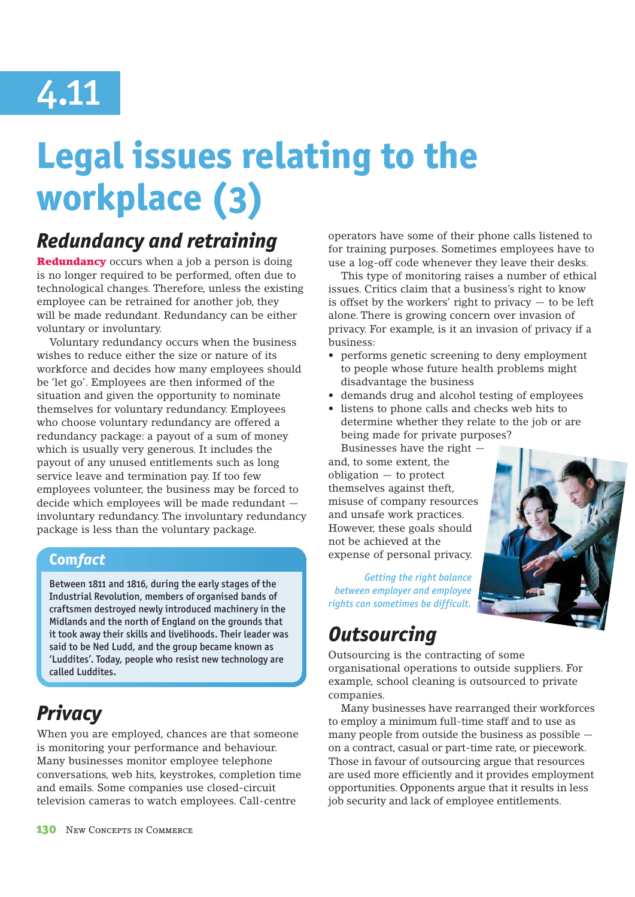# 4.11

# **Legal issues relating to the workplace (3)**

## *Redundancy and retraining*

**Redundancy** occurs when a job a person is doing is no longer required to be performed, often due to technological changes. Therefore, unless the existing employee can be retrained for another job, they will be made redundant. Redundancy can be either voluntary or involuntary.

Voluntary redundancy occurs when the business wishes to reduce either the size or nature of its workforce and decides how many employees should be 'let go'. Employees are then informed of the situation and given the opportunity to nominate themselves for voluntary redundancy. Employees who choose voluntary redundancy are offered a redundancy package: a payout of a sum of money which is usually very generous. It includes the payout of any unused entitlements such as long service leave and termination pay. If too few employees volunteer, the business may be forced to decide which employees will be made redundant involuntary redundancy. The involuntary redundancy package is less than the voluntary package.

#### **Com** *fact*

Between 1811 and 1816, during the early stages of the Industrial Revolution, members of organised bands of craftsmen destroyed newly introduced machinery in the Midlands and the north of England on the grounds that it took away their skills and livelihoods. Their leader was said to be Ned Ludd, and the group became known as 'Luddites'. Today, people who resist new technology are called Luddites.

## *Privacy*

When you are employed, chances are that someone is monitoring your performance and behaviour. Many businesses monitor employee telephone conversations, web hits, keystrokes, completion time and emails. Some companies use closed-circuit television cameras to watch employees. Call-centre

operators have some of their phone calls listened to for training purposes. Sometimes employees have to use a log-off code whenever they leave their desks.

This type of monitoring raises a number of ethical issues. Critics claim that a business's right to know is offset by the workers' right to privacy  $-$  to be left alone. There is growing concern over invasion of privacy. For example, is it an invasion of privacy if a business:

- performs genetic screening to deny employment to people whose future health problems might disadvantage the business
- s demands drug and alcohol testing of employees
- listens to phone calls and checks web hits to determine whether they relate to the job or are being made for private purposes?

Businesses have the right and, to some extent, the obligation — to protect themselves against theft, misuse of company resources and unsafe work practices. However, these goals should not be achieved at the expense of personal privacy.

*Getting the right balance between employer and employee rights can sometimes be difficult.*

## *Outsourcing*

Outsourcing is the contracting of some organisational operations to outside suppliers. For example, school cleaning is outsourced to private companies.

Many businesses have rearranged their workforces to employ a minimum full-time staff and to use as many people from outside the business as possible on a contract, casual or part-time rate, or piecework. Those in favour of outsourcing argue that resources are used more efficiently and it provides employment opportunities. Opponents argue that it results in less job security and lack of employee entitlements.